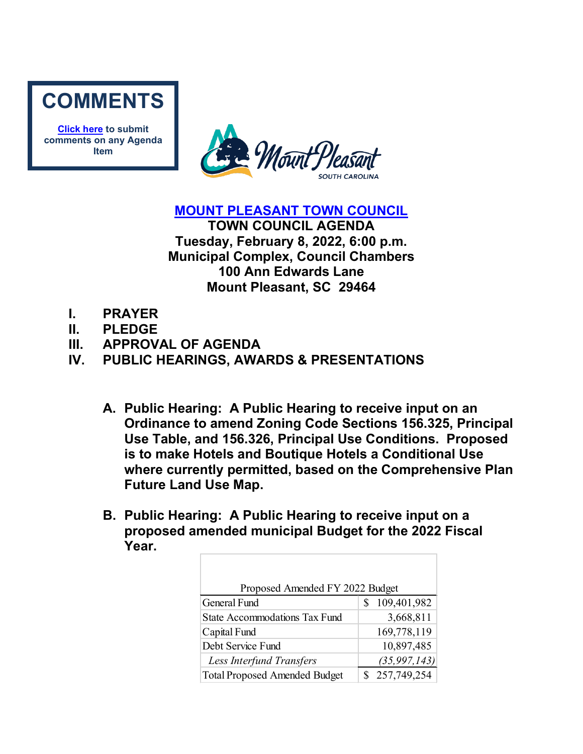

**[Click here](mailto:councilclk@tompsc.com) to submit comments on any Agenda Item**



**[MOUNT PLEASANT TOWN COUNCIL](http://www.tompsc.com/index.aspx?NID=91)**

**TOWN COUNCIL AGENDA Tuesday, February 8, 2022, 6:00 p.m. Municipal Complex, Council Chambers 100 Ann Edwards Lane Mount Pleasant, SC 29464**

- **I. PRAYER**
- **II. PLEDGE**
- **III. APPROVAL OF AGENDA**
- **IV. PUBLIC HEARINGS, AWARDS & PRESENTATIONS**
	- **A. Public Hearing: A Public Hearing to receive input on an Ordinance to amend Zoning Code Sections 156.325, Principal Use Table, and 156.326, Principal Use Conditions. Proposed is to make Hotels and Boutique Hotels a Conditional Use where currently permitted, based on the Comprehensive Plan Future Land Use Map.**
	- **B. Public Hearing: A Public Hearing to receive input on a proposed amended municipal Budget for the 2022 Fiscal Year.**

| Proposed Amended FY 2022 Budget      |                |  |  |
|--------------------------------------|----------------|--|--|
| General Fund                         | 109,401,982    |  |  |
| <b>State Accommodations Tax Fund</b> | 3,668,811      |  |  |
| Capital Fund                         | 169,778,119    |  |  |
| Debt Service Fund                    | 10,897,485     |  |  |
| Less Interfund Transfers             | (35, 997, 143) |  |  |
| <b>Total Proposed Amended Budget</b> | 257,749,254    |  |  |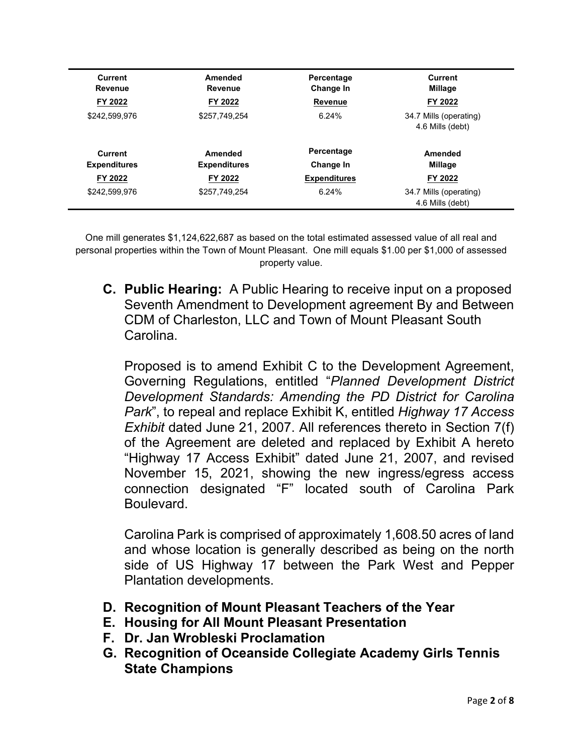| Current<br>Revenue             | Amended<br>Revenue             | Percentage<br>Change In | <b>Current</b><br>Millage                  |
|--------------------------------|--------------------------------|-------------------------|--------------------------------------------|
| FY 2022                        | FY 2022                        | <b>Revenue</b>          | FY 2022                                    |
| \$242,599,976                  | \$257.749.254                  | 6.24%                   | 34.7 Mills (operating)<br>4.6 Mills (debt) |
| Current<br><b>Expenditures</b> | Amended<br><b>Expenditures</b> | Percentage<br>Change In | Amended<br>Millage                         |
| FY 2022                        | FY 2022                        | <b>Expenditures</b>     | FY 2022                                    |
| \$242,599,976                  | \$257.749.254                  | 6.24%                   | 34.7 Mills (operating)<br>4.6 Mills (debt) |

One mill generates \$1,124,622,687 as based on the total estimated assessed value of all real and personal properties within the Town of Mount Pleasant. One mill equals \$1.00 per \$1,000 of assessed property value.

**C. Public Hearing:** A Public Hearing to receive input on a proposed Seventh Amendment to Development agreement By and Between CDM of Charleston, LLC and Town of Mount Pleasant South Carolina.

Proposed is to amend Exhibit C to the Development Agreement, Governing Regulations, entitled "*Planned Development District Development Standards: Amending the PD District for Carolina Park*", to repeal and replace Exhibit K, entitled *Highway 17 Access Exhibit* dated June 21, 2007. All references thereto in Section 7(f) of the Agreement are deleted and replaced by Exhibit A hereto "Highway 17 Access Exhibit" dated June 21, 2007, and revised November 15, 2021, showing the new ingress/egress access connection designated "F" located south of Carolina Park Boulevard.

Carolina Park is comprised of approximately 1,608.50 acres of land and whose location is generally described as being on the north side of US Highway 17 between the Park West and Pepper Plantation developments.

- **D. Recognition of Mount Pleasant Teachers of the Year**
- **E. Housing for All Mount Pleasant Presentation**
- **F. Dr. Jan Wrobleski Proclamation**
- **G. Recognition of Oceanside Collegiate Academy Girls Tennis State Champions**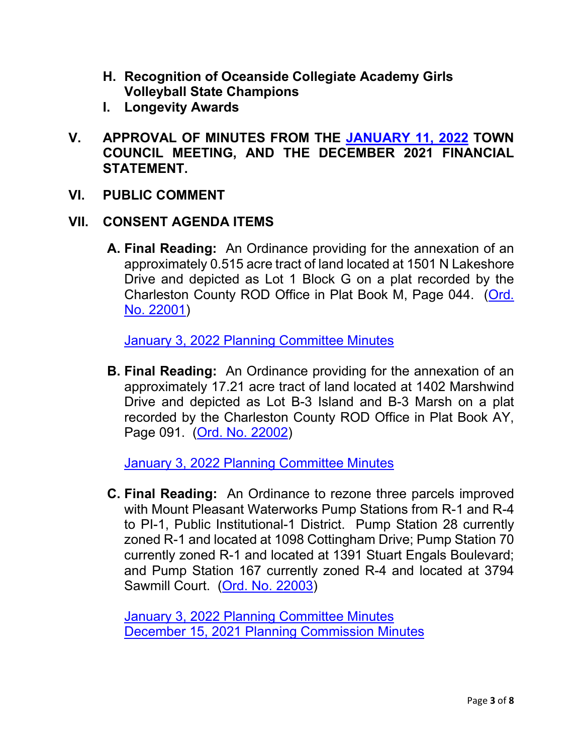- **H. Recognition of Oceanside Collegiate Academy Girls Volleyball State Champions**
- **I. Longevity Awards**
- **V. APPROVAL OF MINUTES FROM THE [JANUARY 11, 2022](https://www.tompsc.com/AgendaCenter/ViewFile/Minutes/_01112022-1126) TOWN COUNCIL MEETING, AND THE DECEMBER 2021 FINANCIAL STATEMENT.**
- **VI. PUBLIC COMMENT**

# **VII. CONSENT AGENDA ITEMS**

**A. Final Reading:** An Ordinance providing for the annexation of an approximately 0.515 acre tract of land located at 1501 N Lakeshore Drive and depicted as Lot 1 Block G on a plat recorded by the Charleston County ROD Office in Plat Book M, Page 044. [\(Ord.](https://www.tompsc.com/DocumentCenter/View/40078/Ord-No-22001)  [No. 22001\)](https://www.tompsc.com/DocumentCenter/View/40078/Ord-No-22001)

[January 3, 2022 Planning Committee Minutes](https://www.tompsc.com/AgendaCenter/ViewFile/Minutes/_01032022-1123)

**B. Final Reading:** An Ordinance providing for the annexation of an approximately 17.21 acre tract of land located at 1402 Marshwind Drive and depicted as Lot B-3 Island and B-3 Marsh on a plat recorded by the Charleston County ROD Office in Plat Book AY, Page 091. [\(Ord. No. 22002\)](https://www.tompsc.com/DocumentCenter/View/40079/Ord-No-22002)

[January 3, 2022 Planning Committee Minutes](https://www.tompsc.com/AgendaCenter/ViewFile/Minutes/_01032022-1123)

**C. Final Reading:** An Ordinance to rezone three parcels improved with Mount Pleasant Waterworks Pump Stations from R-1 and R-4 to PI-1, Public Institutional-1 District. Pump Station 28 currently zoned R-1 and located at 1098 Cottingham Drive; Pump Station 70 currently zoned R-1 and located at 1391 Stuart Engals Boulevard; and Pump Station 167 currently zoned R-4 and located at 3794 Sawmill Court. [\(Ord. No. 22003\)](https://www.tompsc.com/DocumentCenter/View/40080/Ord-No-22003)

[January 3, 2022 Planning Committee Minutes](https://www.tompsc.com/AgendaCenter/ViewFile/Minutes/_01032022-1123) [December 15, 2021 Planning Commission Minutes](https://www.tompsc.com/AgendaCenter/ViewFile/Agenda/_12152021-1099)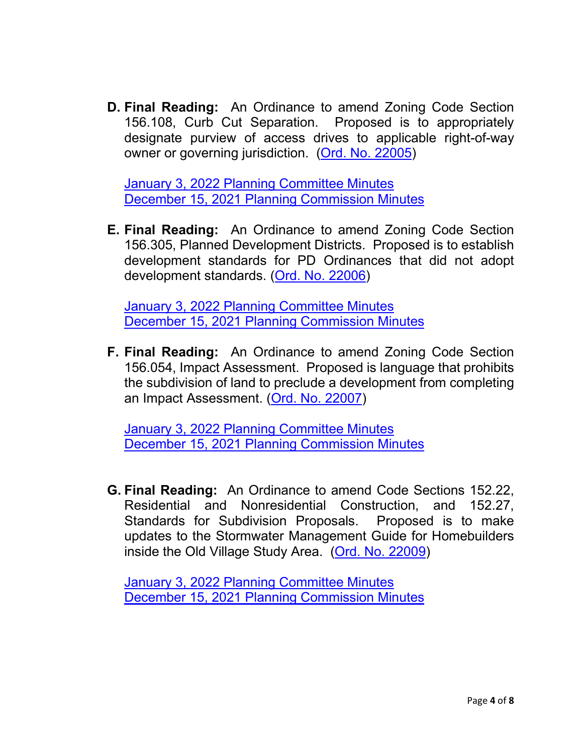**D. Final Reading:** An Ordinance to amend Zoning Code Section 156.108, Curb Cut Separation. Proposed is to appropriately designate purview of access drives to applicable right-of-way owner or governing jurisdiction. [\(Ord. No. 22005\)](https://www.tompsc.com/DocumentCenter/View/40072/Ord-No-22005)

[January 3, 2022 Planning Committee Minutes](https://www.tompsc.com/AgendaCenter/ViewFile/Minutes/_01032022-1123) [December 15, 2021 Planning Commission Minutes](https://www.tompsc.com/AgendaCenter/ViewFile/Agenda/_12152021-1099)

**E. Final Reading:** An Ordinance to amend Zoning Code Section 156.305, Planned Development Districts. Proposed is to establish development standards for PD Ordinances that did not adopt development standards. [\(Ord. No. 22006\)](https://www.tompsc.com/DocumentCenter/View/40073/Ord-No-22006)

[January 3, 2022 Planning Committee Minutes](https://www.tompsc.com/AgendaCenter/ViewFile/Minutes/_01032022-1123) [December 15, 2021 Planning Commission Minutes](https://www.tompsc.com/AgendaCenter/ViewFile/Agenda/_12152021-1099)

**F. Final Reading:** An Ordinance to amend Zoning Code Section 156.054, Impact Assessment. Proposed is language that prohibits the subdivision of land to preclude a development from completing an Impact Assessment. [\(Ord. No. 22007\)](https://www.tompsc.com/DocumentCenter/View/40074/Ord-No-22007)

[January 3, 2022 Planning Committee Minutes](https://www.tompsc.com/AgendaCenter/ViewFile/Minutes/_01032022-1123) [December 15, 2021 Planning Commission Minutes](https://www.tompsc.com/AgendaCenter/ViewFile/Agenda/_12152021-1099)

**G. Final Reading:** An Ordinance to amend Code Sections 152.22, Residential and Nonresidential Construction, and 152.27, Standards for Subdivision Proposals. Proposed is to make updates to the Stormwater Management Guide for Homebuilders inside the Old Village Study Area. [\(Ord. No. 22009\)](https://www.tompsc.com/DocumentCenter/View/40076/Ord-No-22009)

[January 3, 2022 Planning Committee Minutes](https://www.tompsc.com/AgendaCenter/ViewFile/Minutes/_01032022-1123) [December 15, 2021 Planning Commission Minutes](https://www.tompsc.com/AgendaCenter/ViewFile/Agenda/_12152021-1099)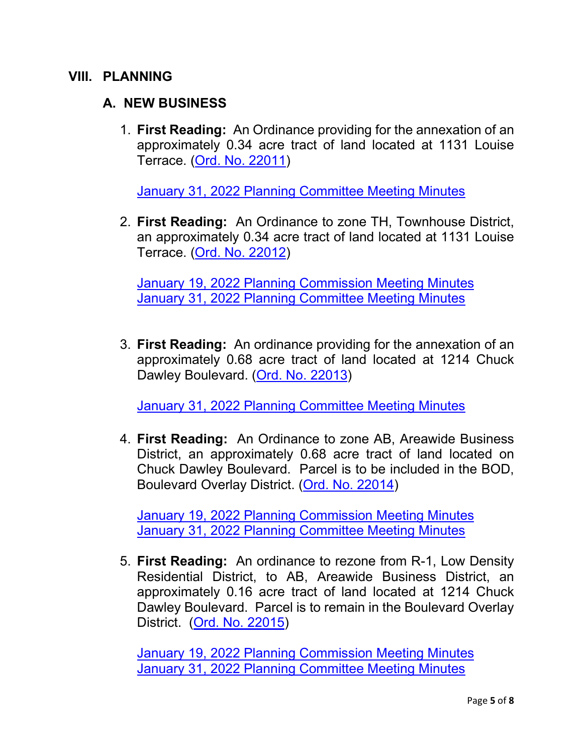#### **VIII. PLANNING**

# **A. NEW BUSINESS**

1. **First Reading:** An Ordinance providing for the annexation of an approximately 0.34 acre tract of land located at 1131 Louise Terrace. [\(Ord. No. 22011\)](https://www.tompsc.com/DocumentCenter/View/40399/Ord-No-22011)

[January 31, 2022 Planning Committee Meeting Minutes](https://www.tompsc.com/AgendaCenter/ViewFile/Minutes/_01312022-1141)

2. **First Reading:** An Ordinance to zone TH, Townhouse District, an approximately 0.34 acre tract of land located at 1131 Louise Terrace. [\(Ord. No. 22012\)](https://www.tompsc.com/DocumentCenter/View/40400/Ord-No-22012)

[January 19, 2022 Planning Commission Meeting Minutes](https://www.tompsc.com/AgendaCenter/ViewFile/Minutes/_01192022-1125) [January 31, 2022 Planning Committee Meeting Minutes](https://www.tompsc.com/AgendaCenter/ViewFile/Minutes/_01312022-1141)

3. **First Reading:** An ordinance providing for the annexation of an approximately 0.68 acre tract of land located at 1214 Chuck Dawley Boulevard. [\(Ord. No.](https://www.tompsc.com/DocumentCenter/View/40401/Ord-No-22013) 22013)

[January 31, 2022 Planning Committee Meeting Minutes](https://www.tompsc.com/AgendaCenter/ViewFile/Minutes/_01312022-1141)

4. **First Reading:** An Ordinance to zone AB, Areawide Business District, an approximately 0.68 acre tract of land located on Chuck Dawley Boulevard. Parcel is to be included in the BOD, Boulevard Overlay District. [\(Ord. No. 22014\)](https://www.tompsc.com/DocumentCenter/View/40401/Ord-No-22013)

[January 19, 2022 Planning Commission Meeting Minutes](https://www.tompsc.com/AgendaCenter/ViewFile/Minutes/_01192022-1125) [January 31, 2022 Planning Committee Meeting Minutes](https://www.tompsc.com/AgendaCenter/ViewFile/Minutes/_01312022-1141)

5. **First Reading:** An ordinance to rezone from R-1, Low Density Residential District, to AB, Areawide Business District, an approximately 0.16 acre tract of land located at 1214 Chuck Dawley Boulevard. Parcel is to remain in the Boulevard Overlay District. [\(Ord. No. 22015\)](https://www.tompsc.com/DocumentCenter/View/40403/Ord-No-22015)

[January 19, 2022 Planning Commission Meeting Minutes](https://www.tompsc.com/AgendaCenter/ViewFile/Minutes/_01192022-1125) [January 31, 2022 Planning Committee Meeting Minutes](https://www.tompsc.com/AgendaCenter/ViewFile/Minutes/_01312022-1141)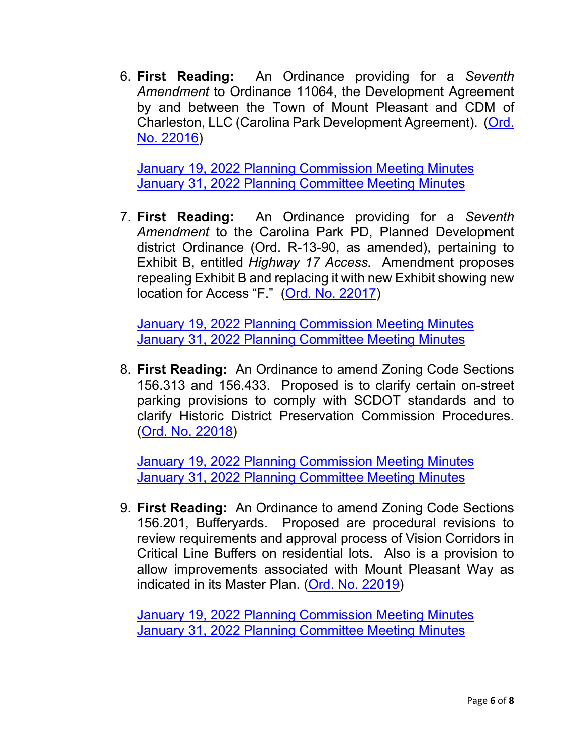6. **First Reading:** An Ordinance providing for a *Seventh Amendment* to Ordinance 11064, the Development Agreement by and between the Town of Mount Pleasant and CDM of Charleston, LLC (Carolina Park Development Agreement). [\(Ord.](https://www.tompsc.com/DocumentCenter/View/40395/Ord-No-22016)  [No. 22016\)](https://www.tompsc.com/DocumentCenter/View/40395/Ord-No-22016)

[January 19, 2022 Planning Commission Meeting Minutes](https://www.tompsc.com/AgendaCenter/ViewFile/Minutes/_01192022-1125) [January 31, 2022 Planning Committee Meeting Minutes](https://www.tompsc.com/AgendaCenter/ViewFile/Minutes/_01312022-1141)

7. **First Reading:** An Ordinance providing for a *Seventh Amendment* to the Carolina Park PD, Planned Development district Ordinance (Ord. R-13-90, as amended), pertaining to Exhibit B, entitled *Highway 17 Access.* Amendment proposes repealing Exhibit B and replacing it with new Exhibit showing new location for Access "F." [\(Ord. No. 22017\)](https://www.tompsc.com/DocumentCenter/View/40396/Ord-No-22017)

[January 19, 2022 Planning Commission Meeting Minutes](https://www.tompsc.com/AgendaCenter/ViewFile/Minutes/_01192022-1125) [January 31, 2022 Planning Committee Meeting Minutes](https://www.tompsc.com/AgendaCenter/ViewFile/Minutes/_01312022-1141)

8. **First Reading:** An Ordinance to amend Zoning Code Sections 156.313 and 156.433. Proposed is to clarify certain on-street parking provisions to comply with SCDOT standards and to clarify Historic District Preservation Commission Procedures. [\(Ord. No. 22018\)](https://www.tompsc.com/DocumentCenter/View/40396/Ord-No-22017)

[January 19, 2022 Planning Commission Meeting Minutes](https://www.tompsc.com/AgendaCenter/ViewFile/Minutes/_01192022-1125) [January 31, 2022 Planning Committee Meeting Minutes](https://www.tompsc.com/AgendaCenter/ViewFile/Minutes/_01312022-1141)

9. **First Reading:** An Ordinance to amend Zoning Code Sections 156.201, Bufferyards. Proposed are procedural revisions to review requirements and approval process of Vision Corridors in Critical Line Buffers on residential lots. Also is a provision to allow improvements associated with Mount Pleasant Way as indicated in its Master Plan. [\(Ord. No. 22019\)](https://www.tompsc.com/DocumentCenter/View/40396/Ord-No-22017)

[January 19, 2022 Planning Commission Meeting Minutes](https://www.tompsc.com/AgendaCenter/ViewFile/Minutes/_01192022-1125) [January 31, 2022 Planning Committee Meeting Minutes](https://www.tompsc.com/AgendaCenter/ViewFile/Minutes/_01312022-1141)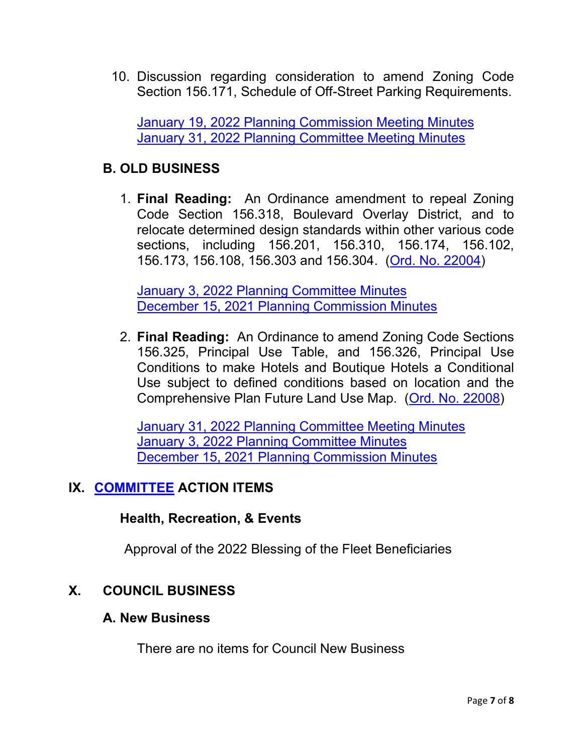10. Discussion regarding consideration to amend Zoning Code Section 156.171, Schedule of Off-Street Parking Requirements.

[January 19, 2022 Planning Commission Meeting Minutes](https://www.tompsc.com/AgendaCenter/ViewFile/Minutes/_01192022-1125) [January 31, 2022 Planning Committee Meeting Minutes](https://www.tompsc.com/AgendaCenter/ViewFile/Minutes/_01312022-1141)

# **B. OLD BUSINESS**

1. **Final Reading:** An Ordinance amendment to repeal Zoning Code Section 156.318, Boulevard Overlay District, and to relocate determined design standards within other various code sections, including 156.201, 156.310, 156.174, 156.102, 156.173, 156.108, 156.303 and 156.304. [\(Ord. No. 22004\)](https://www.tompsc.com/DocumentCenter/View/40081/Ord-No-22004)

[January 3, 2022 Planning Committee Minutes](https://www.tompsc.com/AgendaCenter/ViewFile/Minutes/_01032022-1123) [December 15, 2021 Planning Commission Minutes](https://www.tompsc.com/AgendaCenter/ViewFile/Agenda/_12152021-1099)

2. **Final Reading:** An Ordinance to amend Zoning Code Sections 156.325, Principal Use Table, and 156.326, Principal Use Conditions to make Hotels and Boutique Hotels a Conditional Use subject to defined conditions based on location and the Comprehensive Plan Future Land Use Map. [\(Ord. No. 22008\)](https://www.tompsc.com/DocumentCenter/View/40075/Ord-No-22008)

[January 31, 2022 Planning Committee Meeting Minutes](https://www.tompsc.com/AgendaCenter/ViewFile/Minutes/_01312022-1141) [January 3, 2022 Planning Committee Minutes](https://www.tompsc.com/AgendaCenter/ViewFile/Minutes/_01032022-1123) [December 15, 2021 Planning Commission Minutes](https://www.tompsc.com/AgendaCenter/ViewFile/Agenda/_12152021-1099)

#### **IX. [COMMITTEE](https://www.tompsc.com/agendacenter) ACTION ITEMS**

#### **Health, Recreation, & Events**

Approval of the 2022 Blessing of the Fleet Beneficiaries

# **X. COUNCIL BUSINESS**

#### **A. New Business**

There are no items for Council New Business